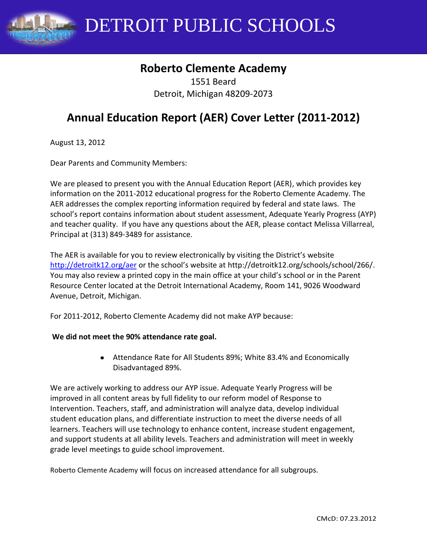DETROIT PUBLIC SCHOOLS

# **Roberto Clemente Academy**

1551 Beard Detroit, Michigan 48209-2073

# **Annual Education Report (AER) Cover Letter (2011-2012)**

August 13, 2012

Dear Parents and Community Members:

We are pleased to present you with the Annual Education Report (AER), which provides key information on the 2011-2012 educational progress for the Roberto Clemente Academy. The AER addresses the complex reporting information required by federal and state laws. The school's report contains information about student assessment, Adequate Yearly Progress (AYP) and teacher quality. If you have any questions about the AER, please contact Melissa Villarreal, Principal at (313) 849-3489 for assistance.

The AER is available for you to review electronically by visiting the District's website <http://detroitk12.org/aer> or the school's website at http://detroitk12.org/schools/school/266/. You may also review a printed copy in the main office at your child's school or in the Parent Resource Center located at the Detroit International Academy, Room 141, 9026 Woodward Avenue, Detroit, Michigan.

For 2011-2012, Roberto Clemente Academy did not make AYP because:

#### **We did not meet the 90% attendance rate goal.**

Attendance Rate for All Students 89%; White 83.4% and Economically Disadvantaged 89%.

We are actively working to address our AYP issue. Adequate Yearly Progress will be improved in all content areas by full fidelity to our reform model of Response to Intervention. Teachers, staff, and administration will analyze data, develop individual student education plans, and differentiate instruction to meet the diverse needs of all learners. Teachers will use technology to enhance content, increase student engagement, and support students at all ability levels. Teachers and administration will meet in weekly grade level meetings to guide school improvement.

Roberto Clemente Academy will focus on increased attendance for all subgroups.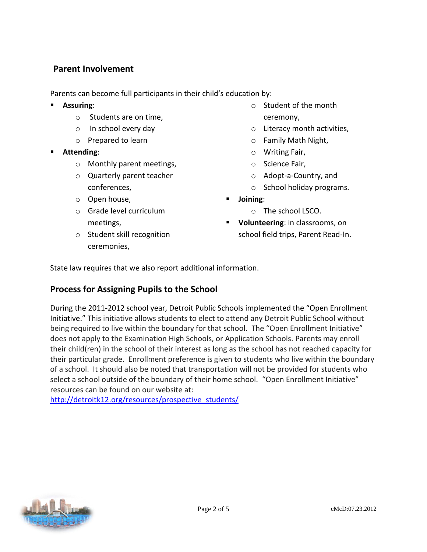# **Parent Involvement**

Parents can become full participants in their child's education by:

- **Assuring**:
	- o Students are on time,
	- o In school every day
	- o Prepared to learn
- **Attending**:
	- o Monthly parent meetings,
	- o Quarterly parent teacher conferences,
	- o Open house,
	- o Grade level curriculum meetings,
	- o Student skill recognition ceremonies,
- $\circ$  Student of the month ceremony,
- o Literacy month activities,
- o Family Math Night,
- o Writing Fair,
- o Science Fair,
- o Adopt-a-Country, and
- o School holiday programs.
- **Joining**:
	- o The school LSCO.
- **Volunteering**: in classrooms, on school field trips, Parent Read-In.

State law requires that we also report additional information.

# **Process for Assigning Pupils to the School**

During the 2011-2012 school year, Detroit Public Schools implemented the "Open Enrollment Initiative." This initiative allows students to elect to attend any Detroit Public School without being required to live within the boundary for that school. The "Open Enrollment Initiative" does not apply to the Examination High Schools, or Application Schools. Parents may enroll their child(ren) in the school of their interest as long as the school has not reached capacity for their particular grade. Enrollment preference is given to students who live within the boundary of a school. It should also be noted that transportation will not be provided for students who select a school outside of the boundary of their home school. "Open Enrollment Initiative" resources can be found on our website at:

[http://detroitk12.org/resources/prospective\\_students/](http://detroitk12.org/resources/prospective_students/)

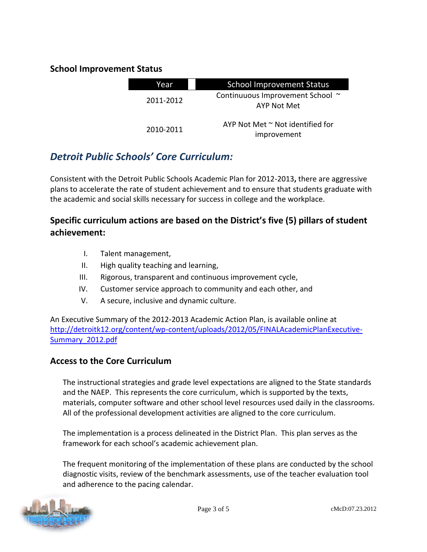# **School Improvement Status**

| Year      | <b>School Improvement Status</b>                     |  |
|-----------|------------------------------------------------------|--|
| 2011-2012 | Continuuous Improvement School ~<br>AYP Not Met      |  |
| 2010-2011 | AYP Not Met $\sim$ Not identified for<br>improvement |  |

# *Detroit Public Schools' Core Curriculum:*

Consistent with the Detroit Public Schools Academic Plan for 2012-2013**,** there are aggressive plans to accelerate the rate of student achievement and to ensure that students graduate with the academic and social skills necessary for success in college and the workplace.

# **Specific curriculum actions are based on the District's five (5) pillars of student achievement:**

- I. Talent management,
- II. High quality teaching and learning,
- III. Rigorous, transparent and continuous improvement cycle,
- IV. Customer service approach to community and each other, and
- V. A secure, inclusive and dynamic culture.

An Executive Summary of the 2012-2013 Academic Action Plan, is available online at [http://detroitk12.org/content/wp-content/uploads/2012/05/FINALAcademicPlanExecutive-](http://detroitk12.org/content/wp-content/uploads/2012/05/FINALAcademicPlanExecutive-Summary_2012.pdf)[Summary\\_2012.pdf](http://detroitk12.org/content/wp-content/uploads/2012/05/FINALAcademicPlanExecutive-Summary_2012.pdf)

### **Access to the Core Curriculum**

The instructional strategies and grade level expectations are aligned to the State standards and the NAEP. This represents the core curriculum, which is supported by the texts, materials, computer software and other school level resources used daily in the classrooms. All of the professional development activities are aligned to the core curriculum.

The implementation is a process delineated in the District Plan. This plan serves as the framework for each school's academic achievement plan.

The frequent monitoring of the implementation of these plans are conducted by the school diagnostic visits, review of the benchmark assessments, use of the teacher evaluation tool and adherence to the pacing calendar.

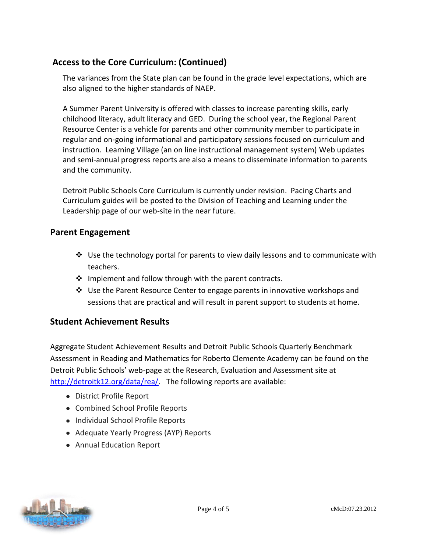# **Access to the Core Curriculum: (Continued)**

The variances from the State plan can be found in the grade level expectations, which are also aligned to the higher standards of NAEP.

A Summer Parent University is offered with classes to increase parenting skills, early childhood literacy, adult literacy and GED. During the school year, the Regional Parent Resource Center is a vehicle for parents and other community member to participate in regular and on-going informational and participatory sessions focused on curriculum and instruction. Learning Village (an on line instructional management system) Web updates and semi-annual progress reports are also a means to disseminate information to parents and the community.

Detroit Public Schools Core Curriculum is currently under revision. Pacing Charts and Curriculum guides will be posted to the Division of Teaching and Learning under the Leadership page of our web-site in the near future.

### **Parent Engagement**

- $\div$  Use the technology portal for parents to view daily lessons and to communicate with teachers.
- $\cdot \cdot$  Implement and follow through with the parent contracts.
- Use the Parent Resource Center to engage parents in innovative workshops and sessions that are practical and will result in parent support to students at home.

# **Student Achievement Results**

Aggregate Student Achievement Results and Detroit Public Schools Quarterly Benchmark Assessment in Reading and Mathematics for Roberto Clemente Academy can be found on the Detroit Public Schools' web-page at the Research, Evaluation and Assessment site at [http://detroitk12.org/data/rea/.](http://detroitk12.org/data/rea/) The following reports are available:

- District Profile Report
- Combined School Profile Reports
- Individual School Profile Reports
- Adequate Yearly Progress (AYP) Reports
- Annual Education Report